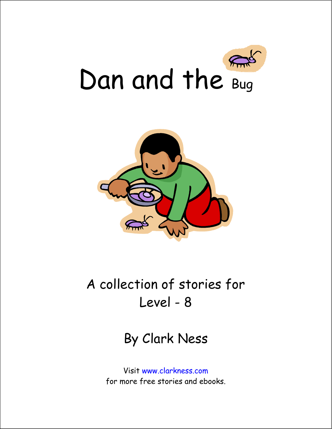



## A collection of stories for Level - 8

## By Clark Ness

Visit www.clarkness.com for more free stories and ebooks.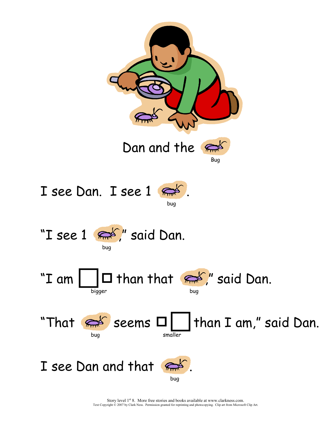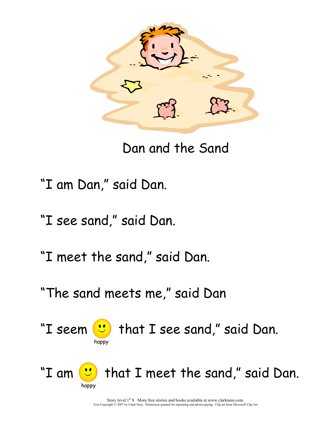

Dan and the Sand

- "I am Dan," said Dan.
- "I see sand," said Dan.
- "I meet the sand," said Dan.
- "The sand meets me," said Dan



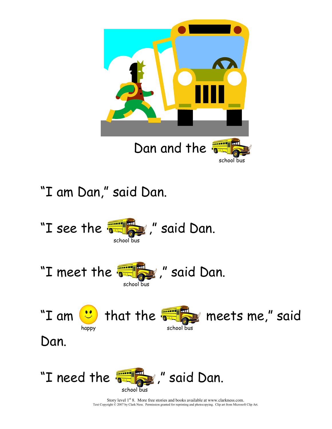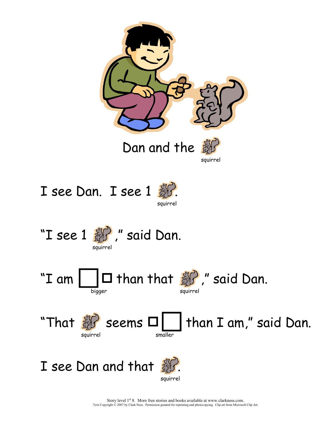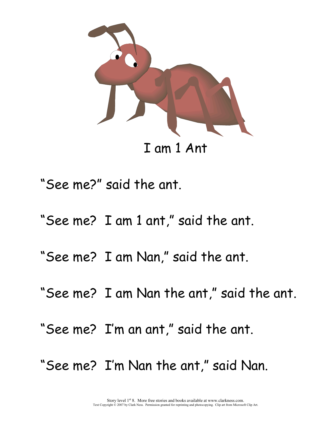

I am 1 Ant

"See me?" said the ant.

- "See me? I am 1 ant," said the ant.
- "See me? I am Nan," said the ant.
- "See me? I am Nan the ant," said the ant.
- "See me? I'm an ant," said the ant.
- "See me? I'm Nan the ant," said Nan.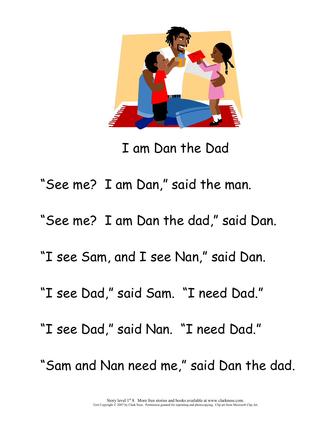

I am Dan the Dad

"See me? I am Dan," said the man.

"See me? I am Dan the dad," said Dan.

"I see Sam, and I see Nan," said Dan.

"I see Dad," said Sam. "I need Dad."

"I see Dad," said Nan. "I need Dad."

"Sam and Nan need me," said Dan the dad.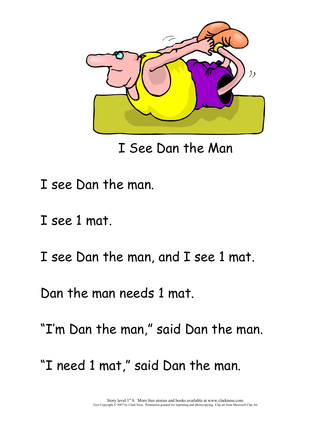

I See Dan the Man

- I see Dan the man.
- I see 1 mat.
- I see Dan the man, and I see 1 mat.

Dan the man needs 1 mat.

"I'm Dan the man," said Dan the man.

"I need 1 mat," said Dan the man.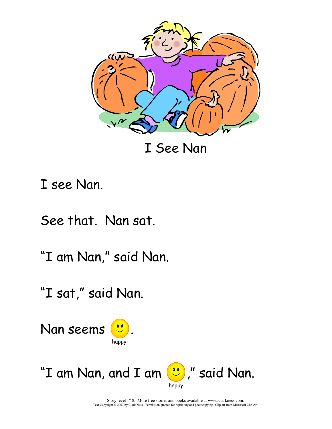

I See Nan

I see Nan.

See that. Nan sat.

"I am Nan," said Nan.

"I sat," said Nan.



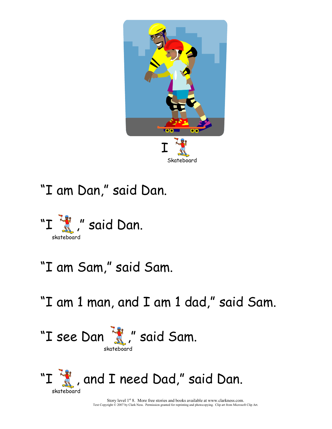

"I am Dan," said Dan.



"I am Sam," said Sam.

"I am 1 man, and I am 1 dad," said Sam.

"I see Dan "f", " said Sam. skateboard

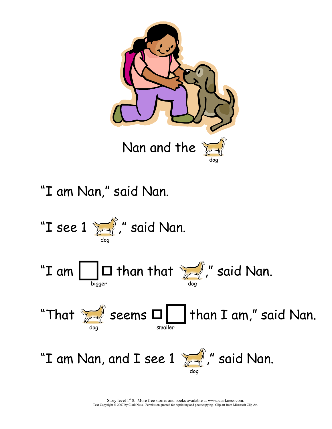

"I am Nan," said Nan.

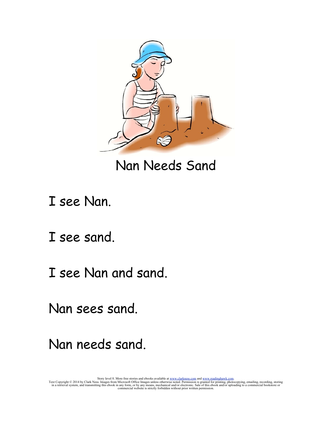

Nan Needs Sand

I see Nan.

I see sand.

I see Nan and sand.

Nan sees sand.

Nan needs sand.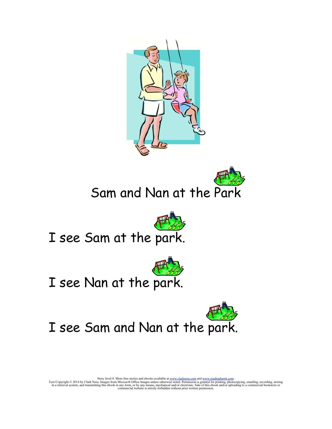



Sam and Nan at the Park



I see Sam at the park.



## I see Nan at the park.



I see Sam and Nan at the park.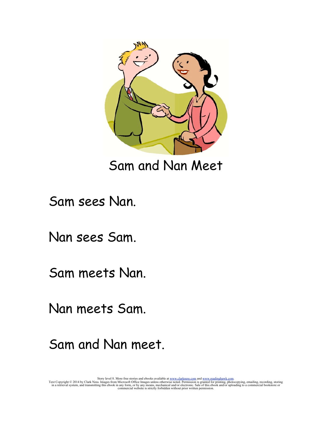

Sam and Nan Meet

Sam sees Nan.

Nan sees Sam.

Sam meets Nan.

Nan meets Sam.

Sam and Nan meet.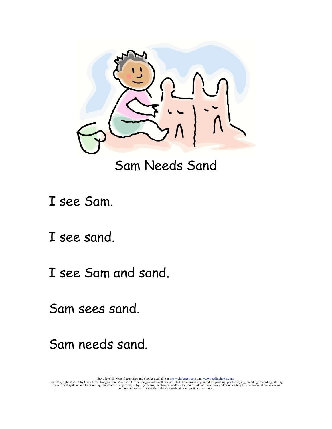

## Sam Needs Sand

I see Sam.

I see sand.

I see Sam and sand.

Sam sees sand.

Sam needs sand.